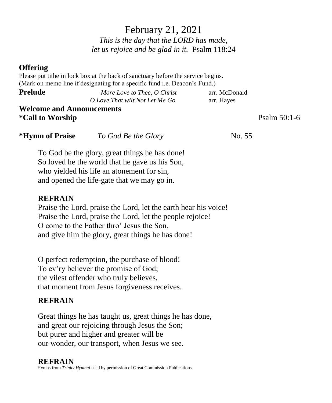February 21, 2021 *This is the day that the LORD has made, let us rejoice and be glad in it.* Psalm 118:24

### **Offering**

Please put tithe in lock box at the back of sanctuary before the service begins. (Mark on memo line if designating for a specific fund i.e. Deacon's Fund.)

**Prelude** *<i>More Love to Thee, O Christ* arr. McDonald *O Love That wilt Not Let Me Go* arr. Hayes

**Welcome and Announcements \*Call to Worship** Psalm 50:1-6

| To God Be the Glory | No. 55 |
|---------------------|--------|

To God be the glory, great things he has done! So loved he the world that he gave us his Son, who yielded his life an atonement for sin, and opened the life-gate that we may go in.

## **REFRAIN**

Praise the Lord, praise the Lord, let the earth hear his voice! Praise the Lord, praise the Lord, let the people rejoice! O come to the Father thro' Jesus the Son, and give him the glory, great things he has done!

O perfect redemption, the purchase of blood! To ev'ry believer the promise of God; the vilest offender who truly believes, that moment from Jesus forgiveness receives.

# **REFRAIN**

Great things he has taught us, great things he has done, and great our rejoicing through Jesus the Son; but purer and higher and greater will be our wonder, our transport, when Jesus we see.

### **REFRAIN**

Hymns from *Trinity Hymnal* used by permission of Great Commission Publications.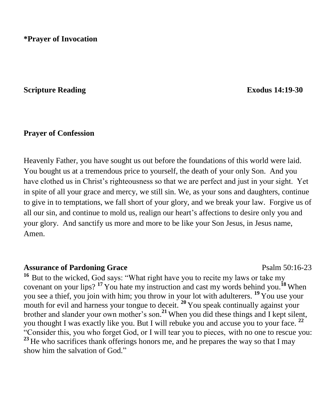**\*Prayer of Invocation** 

**Scripture Reading Exodus 14:19-30** 

### **Prayer of Confession**

Heavenly Father, you have sought us out before the foundations of this world were laid. You bought us at a tremendous price to yourself, the death of your only Son. And you have clothed us in Christ's righteousness so that we are perfect and just in your sight. Yet in spite of all your grace and mercy, we still sin. We, as your sons and daughters, continue to give in to temptations, we fall short of your glory, and we break your law. Forgive us of all our sin, and continue to mold us, realign our heart's affections to desire only you and your glory. And sanctify us more and more to be like your Son Jesus, in Jesus name, Amen.

### **Assurance of Pardoning Grace**  Psalm 50:16-23

**<sup>16</sup>** But to the wicked, God says: "What right have you to recite my laws or take my covenant on your lips? **<sup>17</sup>** You hate my instruction and cast my words behind you. **<sup>18</sup>** When you see a thief, you join with him; you throw in your lot with adulterers. **<sup>19</sup>** You use your mouth for evil and harness your tongue to deceit. **<sup>20</sup>** You speak continually against your brother and slander your own mother's son. **<sup>21</sup>** When you did these things and I kept silent, you thought I was exactly like you. But I will rebuke you and accuse you to your face. **<sup>22</sup>** "Consider this, you who forget God, or I will tear you to pieces, with no one to rescue you: <sup>23</sup> He who sacrifices thank offerings honors me, and he prepares the way so that I may show him the salvation of God."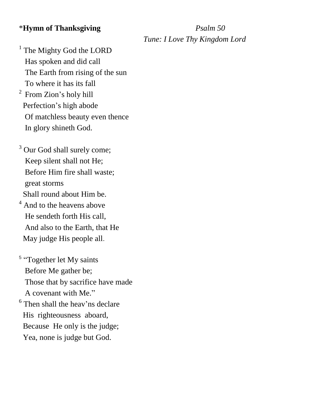## \***Hymn of Thanksgiving** *Psalm 50*

 *Tune: I Love Thy Kingdom Lord*

<sup>1</sup> The Mighty God the LORD Has spoken and did call The Earth from rising of the sun To where it has its fall

<sup>2</sup> From Zion's holy hill Perfection's high abode Of matchless beauty even thence In glory shineth God.

<sup>3</sup> Our God shall surely come; Keep silent shall not He; Before Him fire shall waste; great storms Shall round about Him be.

<sup>4</sup> And to the heavens above He sendeth forth His call, And also to the Earth, that He May judge His people all.

<sup>5</sup> "Together let My saints Before Me gather be; Those that by sacrifice have made A covenant with Me." <sup>6</sup> Then shall the heav'ns declare His righteousness aboard, Because He only is the judge; Yea, none is judge but God.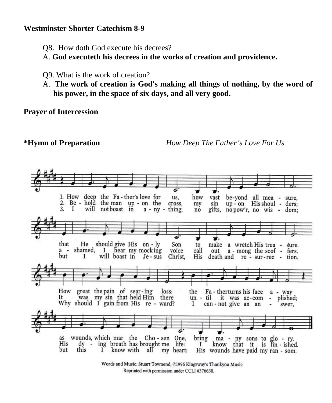### **Westminster Shorter Catechism 8-9**

Q8. How doth God execute his decrees?

A. **God executeth his decrees in the works of creation and providence.**

Q9. What is the work of creation?

A. **The work of creation is God's making all things of nothing, by the word of his power, in the space of six days, and all very good.**

**Prayer of Intercession**

**\*Hymn of Preparation** *How Deep The Father's Love For Us*



Words and Music: Stuart Townend; ©1995 Kingsway's Thankyou Music Reprinted with permission under CCLI #376630.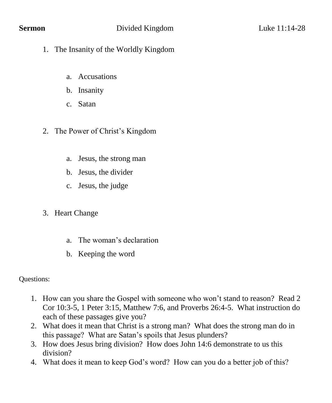- 1. The Insanity of the Worldly Kingdom
	- a. Accusations
	- b. Insanity
	- c. Satan
- 2. The Power of Christ's Kingdom
	- a. Jesus, the strong man
	- b. Jesus, the divider
	- c. Jesus, the judge
- 3. Heart Change
	- a. The woman's declaration
	- b. Keeping the word

Questions:

- 1. How can you share the Gospel with someone who won't stand to reason? Read 2 Cor 10:3-5, 1 Peter 3:15, Matthew 7:6, and Proverbs 26:4-5. What instruction do each of these passages give you?
- 2. What does it mean that Christ is a strong man? What does the strong man do in this passage? What are Satan's spoils that Jesus plunders?
- 3. How does Jesus bring division? How does John 14:6 demonstrate to us this division?
- 4. What does it mean to keep God's word? How can you do a better job of this?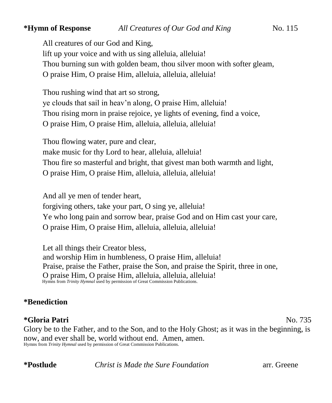All creatures of our God and King, lift up your voice and with us sing alleluia, alleluia! Thou burning sun with golden beam, thou silver moon with softer gleam, O praise Him, O praise Him, alleluia, alleluia, alleluia!

Thou rushing wind that art so strong, ye clouds that sail in heav'n along, O praise Him, alleluia! Thou rising morn in praise rejoice, ye lights of evening, find a voice, O praise Him, O praise Him, alleluia, alleluia, alleluia!

Thou flowing water, pure and clear, make music for thy Lord to hear, alleluia, alleluia! Thou fire so masterful and bright, that givest man both warmth and light, O praise Him, O praise Him, alleluia, alleluia, alleluia!

And all ye men of tender heart,

forgiving others, take your part, O sing ye, alleluia! Ye who long pain and sorrow bear, praise God and on Him cast your care, O praise Him, O praise Him, alleluia, alleluia, alleluia!

Let all things their Creator bless, and worship Him in humbleness, O praise Him, alleluia! Praise, praise the Father, praise the Son, and praise the Spirit, three in one, O praise Him, O praise Him, alleluia, alleluia, alleluia!<br>Hymns from *Trinity Hymnal* used by permission of Great Commission Publications.

### **\*Benediction**

### **\*Gloria Patri** No. 735

Glory be to the Father, and to the Son, and to the Holy Ghost; as it was in the beginning, is now, and ever shall be, world without end. Amen, amen. Hymns from *Trinity Hymnal* used by permission of Great Commission Publications.

**\*Postlude** *Christ is Made the Sure Foundation* arr. Greene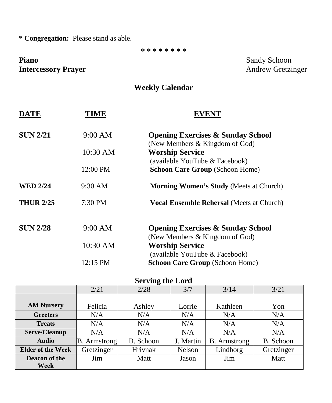**\* Congregation:** Please stand as able.

**\* \* \* \* \* \* \* \***

# **Piano** Sandy Schoon<br> **Intercessory Prayer** Andrew Gretzinger **Intercessory Prayer**

# **Weekly Calendar**

| DATE             | TIME               | EVENT                                                                          |  |  |  |
|------------------|--------------------|--------------------------------------------------------------------------------|--|--|--|
| <b>SUN 2/21</b>  | 9:00 AM            | <b>Opening Exercises &amp; Sunday School</b><br>(New Members & Kingdom of God) |  |  |  |
|                  | 10:30 AM           | <b>Worship Service</b><br>(available YouTube & Facebook)                       |  |  |  |
|                  | $12:00 \text{ PM}$ | <b>Schoon Care Group (Schoon Home)</b>                                         |  |  |  |
| <b>WED 2/24</b>  | $9:30$ AM          | <b>Morning Women's Study</b> (Meets at Church)                                 |  |  |  |
| <b>THUR 2/25</b> | $7:30 \text{ PM}$  | <b>Vocal Ensemble Rehersal</b> (Meets at Church)                               |  |  |  |
| <b>SUN 2/28</b>  | 9:00 AM            | <b>Opening Exercises &amp; Sunday School</b><br>(New Members & Kingdom of God) |  |  |  |
|                  | 10:30 AM           | <b>Worship Service</b><br>(available YouTube & Facebook)                       |  |  |  |
|                  | $12:15 \text{ PM}$ | <b>Schoon Care Group (Schoon Home)</b>                                         |  |  |  |

# **Serving the Lord**

|                          | 2/21                | ີ<br>2/28 | 3/7       | 3/14                | 3/21       |
|--------------------------|---------------------|-----------|-----------|---------------------|------------|
|                          |                     |           |           |                     |            |
| <b>AM Nursery</b>        | Felicia             | Ashley    | Lorrie    | Kathleen            | Yon        |
| <b>Greeters</b>          | N/A                 | N/A       | N/A       | N/A                 | N/A        |
| <b>Treats</b>            | N/A                 | N/A       | N/A       | N/A                 | N/A        |
| Serve/Cleanup            | N/A                 | N/A       | N/A       | N/A                 | N/A        |
| <b>Audio</b>             | <b>B.</b> Armstrong | B. Schoon | J. Martin | <b>B.</b> Armstrong | B. Schoon  |
| <b>Elder of the Week</b> | Gretzinger          | Hrivnak   | Nelson    | Lindborg            | Gretzinger |
| Deacon of the            | Jim                 | Matt      | Jason     | Jim                 | Matt       |
| Week                     |                     |           |           |                     |            |